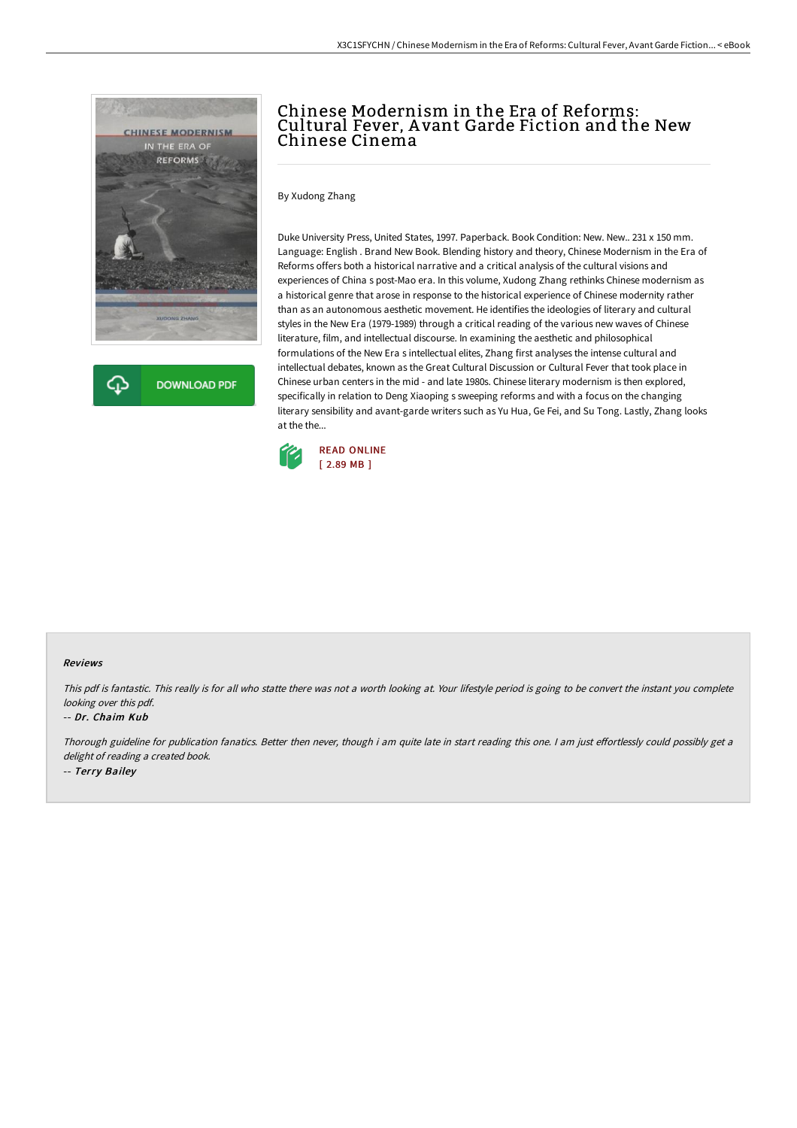

**DOWNLOAD PDF** 

# Chinese Modernism in the Era of Reforms: Cultural Fever, A vant Garde Fiction and the New Chinese Cinema

By Xudong Zhang

Duke University Press, United States, 1997. Paperback. Book Condition: New. New.. 231 x 150 mm. Language: English . Brand New Book. Blending history and theory, Chinese Modernism in the Era of Reforms offers both a historical narrative and a critical analysis of the cultural visions and experiences of China s post-Mao era. In this volume, Xudong Zhang rethinks Chinese modernism as a historical genre that arose in response to the historical experience of Chinese modernity rather than as an autonomous aesthetic movement. He identifies the ideologies of literary and cultural styles in the New Era (1979-1989) through a critical reading of the various new waves of Chinese literature, film, and intellectual discourse. In examining the aesthetic and philosophical formulations of the New Era s intellectual elites, Zhang first analyses the intense cultural and intellectual debates, known as the Great Cultural Discussion or Cultural Fever that took place in Chinese urban centers in the mid - and late 1980s. Chinese literary modernism is then explored, specifically in relation to Deng Xiaoping s sweeping reforms and with a focus on the changing literary sensibility and avant-garde writers such as Yu Hua, Ge Fei, and Su Tong. Lastly, Zhang looks at the the...



#### Reviews

This pdf is fantastic. This really is for all who statte there was not <sup>a</sup> worth looking at. Your lifestyle period is going to be convert the instant you complete looking over this pdf.

#### -- Dr. Chaim Kub

Thorough guideline for publication fanatics. Better then never, though i am quite late in start reading this one. I am just effortlessly could possibly get a delight of reading <sup>a</sup> created book. -- Terry Bailey